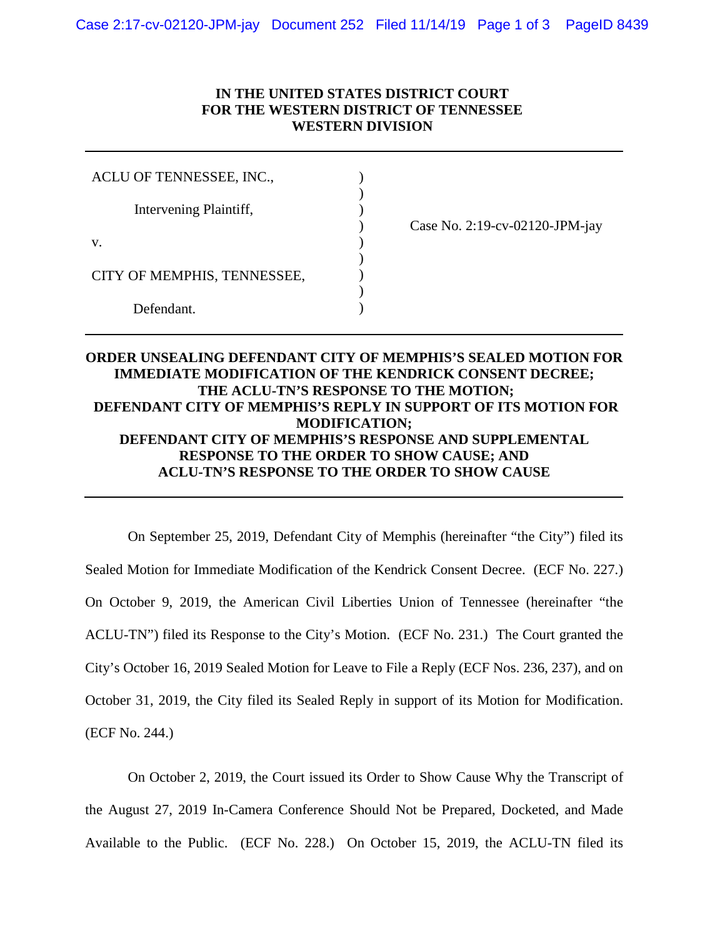## **IN THE UNITED STATES DISTRICT COURT FOR THE WESTERN DISTRICT OF TENNESSEE WESTERN DIVISION**

| ACLU OF TENNESSEE, INC.,    |                                |
|-----------------------------|--------------------------------|
| Intervening Plaintiff,      |                                |
|                             | Case No. 2:19-cv-02120-JPM-jay |
| V.                          |                                |
|                             |                                |
| CITY OF MEMPHIS, TENNESSEE, |                                |
|                             |                                |
| Defendant                   |                                |

## **ORDER UNSEALING DEFENDANT CITY OF MEMPHIS'S SEALED MOTION FOR IMMEDIATE MODIFICATION OF THE KENDRICK CONSENT DECREE; THE ACLU-TN'S RESPONSE TO THE MOTION; DEFENDANT CITY OF MEMPHIS'S REPLY IN SUPPORT OF ITS MOTION FOR MODIFICATION; DEFENDANT CITY OF MEMPHIS'S RESPONSE AND SUPPLEMENTAL RESPONSE TO THE ORDER TO SHOW CAUSE; AND ACLU-TN'S RESPONSE TO THE ORDER TO SHOW CAUSE**

On September 25, 2019, Defendant City of Memphis (hereinafter "the City") filed its Sealed Motion for Immediate Modification of the Kendrick Consent Decree. (ECF No. 227.) On October 9, 2019, the American Civil Liberties Union of Tennessee (hereinafter "the ACLU-TN") filed its Response to the City's Motion. (ECF No. 231.) The Court granted the City's October 16, 2019 Sealed Motion for Leave to File a Reply (ECF Nos. 236, 237), and on October 31, 2019, the City filed its Sealed Reply in support of its Motion for Modification. (ECF No. 244.)

On October 2, 2019, the Court issued its Order to Show Cause Why the Transcript of the August 27, 2019 In-Camera Conference Should Not be Prepared, Docketed, and Made Available to the Public. (ECF No. 228.) On October 15, 2019, the ACLU-TN filed its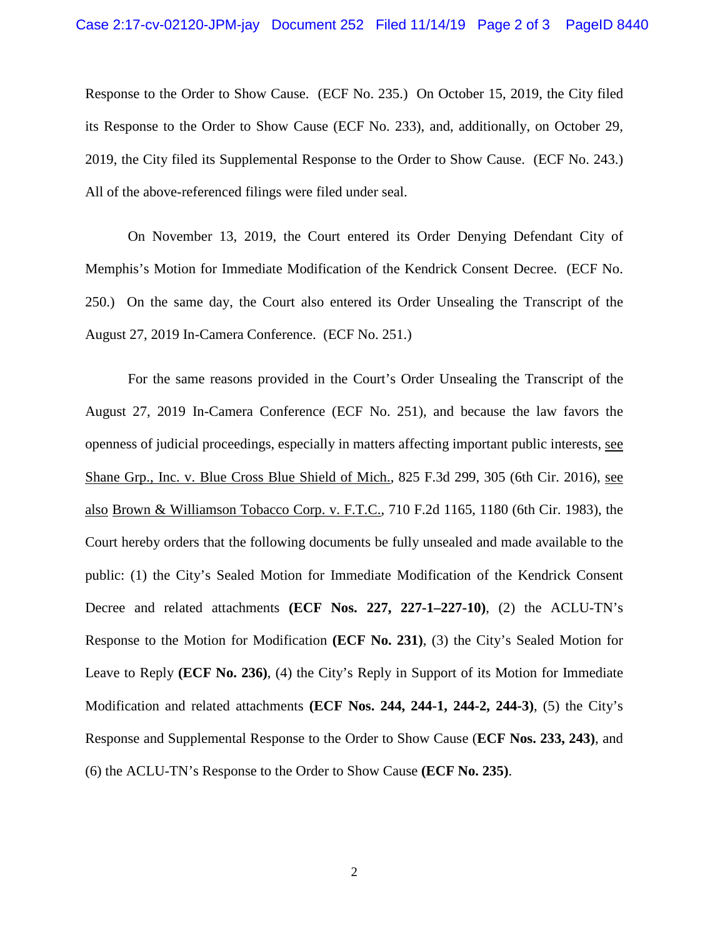Response to the Order to Show Cause. (ECF No. 235.) On October 15, 2019, the City filed its Response to the Order to Show Cause (ECF No. 233), and, additionally, on October 29, 2019, the City filed its Supplemental Response to the Order to Show Cause. (ECF No. 243.) All of the above-referenced filings were filed under seal.

On November 13, 2019, the Court entered its Order Denying Defendant City of Memphis's Motion for Immediate Modification of the Kendrick Consent Decree. (ECF No. 250.) On the same day, the Court also entered its Order Unsealing the Transcript of the August 27, 2019 In-Camera Conference. (ECF No. 251.)

For the same reasons provided in the Court's Order Unsealing the Transcript of the August 27, 2019 In-Camera Conference (ECF No. 251), and because the law favors the openness of judicial proceedings, especially in matters affecting important public interests, see Shane Grp., Inc. v. Blue Cross Blue Shield of Mich., 825 F.3d 299, 305 (6th Cir. 2016), see also Brown & Williamson Tobacco Corp. v. F.T.C., 710 F.2d 1165, 1180 (6th Cir. 1983), the Court hereby orders that the following documents be fully unsealed and made available to the public: (1) the City's Sealed Motion for Immediate Modification of the Kendrick Consent Decree and related attachments **(ECF Nos. 227, 227-1–227-10)**, (2) the ACLU-TN's Response to the Motion for Modification **(ECF No. 231)**, (3) the City's Sealed Motion for Leave to Reply **(ECF No. 236)**, (4) the City's Reply in Support of its Motion for Immediate Modification and related attachments **(ECF Nos. 244, 244-1, 244-2, 244-3)**, (5) the City's Response and Supplemental Response to the Order to Show Cause (**ECF Nos. 233, 243)**, and (6) the ACLU-TN's Response to the Order to Show Cause **(ECF No. 235)**.

2